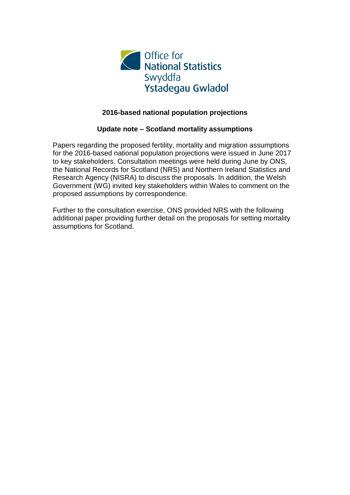

#### **2016-based national population projections**

#### **Update note – Scotland mortality assumptions**

Papers regarding the proposed fertility, mortality and migration assumptions for the 2016-based national population projections were issued in June 2017 to key stakeholders. Consultation meetings were held during June by ONS, the National Records for Scotland (NRS) and Northern Ireland Statistics and Research Agency (NISRA) to discuss the proposals. In addition, the Welsh Government (WG) invited key stakeholders within Wales to comment on the proposed assumptions by correspondence.

Further to the consultation exercise, ONS provided NRS with the following additional paper providing further detail on the proposals for setting mortality assumptions for Scotland.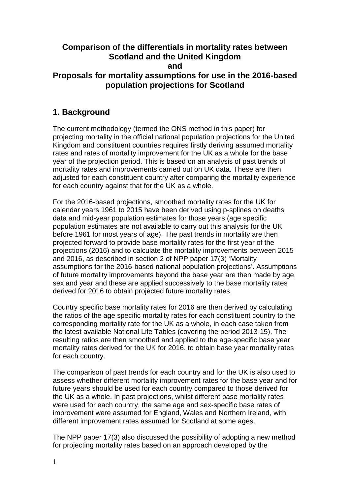#### **Comparison of the differentials in mortality rates between Scotland and the United Kingdom and Proposals for mortality assumptions for use in the 2016-based**

# **population projections for Scotland**

## **1. Background**

The current methodology (termed the ONS method in this paper) for projecting mortality in the official national population projections for the United Kingdom and constituent countries requires firstly deriving assumed mortality rates and rates of mortality improvement for the UK as a whole for the base year of the projection period. This is based on an analysis of past trends of mortality rates and improvements carried out on UK data. These are then adjusted for each constituent country after comparing the mortality experience for each country against that for the UK as a whole.

For the 2016-based projections, smoothed mortality rates for the UK for calendar years 1961 to 2015 have been derived using p-splines on deaths data and mid-year population estimates for those years (age specific population estimates are not available to carry out this analysis for the UK before 1961 for most years of age). The past trends in mortality are then projected forward to provide base mortality rates for the first year of the projections (2016) and to calculate the mortality improvements between 2015 and 2016, as described in section 2 of NPP paper 17(3) 'Mortality assumptions for the 2016-based national population projections'. Assumptions of future mortality improvements beyond the base year are then made by age, sex and year and these are applied successively to the base mortality rates derived for 2016 to obtain projected future mortality rates.

Country specific base mortality rates for 2016 are then derived by calculating the ratios of the age specific mortality rates for each constituent country to the corresponding mortality rate for the UK as a whole, in each case taken from the latest available National Life Tables (covering the period 2013-15). The resulting ratios are then smoothed and applied to the age-specific base year mortality rates derived for the UK for 2016, to obtain base year mortality rates for each country.

The comparison of past trends for each country and for the UK is also used to assess whether different mortality improvement rates for the base year and for future years should be used for each country compared to those derived for the UK as a whole. In past projections, whilst different base mortality rates were used for each country, the same age and sex-specific base rates of improvement were assumed for England, Wales and Northern Ireland, with different improvement rates assumed for Scotland at some ages.

The NPP paper 17(3) also discussed the possibility of adopting a new method for projecting mortality rates based on an approach developed by the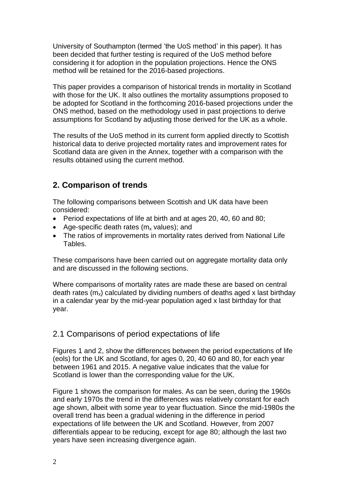University of Southampton (termed 'the UoS method' in this paper). It has been decided that further testing is required of the UoS method before considering it for adoption in the population projections. Hence the ONS method will be retained for the 2016-based projections.

This paper provides a comparison of historical trends in mortality in Scotland with those for the UK. It also outlines the mortality assumptions proposed to be adopted for Scotland in the forthcoming 2016-based projections under the ONS method, based on the methodology used in past projections to derive assumptions for Scotland by adjusting those derived for the UK as a whole.

The results of the UoS method in its current form applied directly to Scottish historical data to derive projected mortality rates and improvement rates for Scotland data are given in the Annex, together with a comparison with the results obtained using the current method.

## **2. Comparison of trends**

The following comparisons between Scottish and UK data have been considered:

- Period expectations of life at birth and at ages 20, 40, 60 and 80;
- Age-specific death rates  $(m_x \text{ values})$ ; and
- The ratios of improvements in mortality rates derived from National Life Tables.

These comparisons have been carried out on aggregate mortality data only and are discussed in the following sections.

Where comparisons of mortality rates are made these are based on central death rates  $(m_x)$  calculated by dividing numbers of deaths aged x last birthday in a calendar year by the mid-year population aged x last birthday for that year.

#### 2.1 Comparisons of period expectations of life

Figures 1 and 2, show the differences between the period expectations of life (eols) for the UK and Scotland, for ages 0, 20, 40 60 and 80, for each year between 1961 and 2015. A negative value indicates that the value for Scotland is lower than the corresponding value for the UK.

Figure 1 shows the comparison for males. As can be seen, during the 1960s and early 1970s the trend in the differences was relatively constant for each age shown, albeit with some year to year fluctuation. Since the mid-1980s the overall trend has been a gradual widening in the difference in period expectations of life between the UK and Scotland. However, from 2007 differentials appear to be reducing, except for age 80; although the last two years have seen increasing divergence again.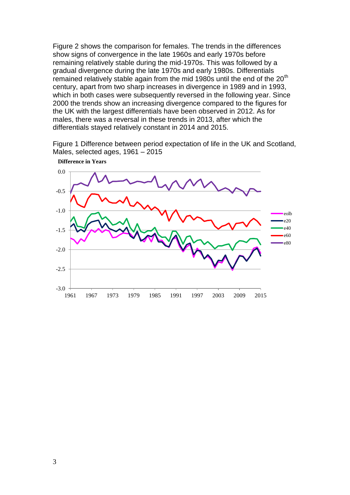Figure 2 shows the comparison for females. The trends in the differences show signs of convergence in the late 1960s and early 1970s before remaining relatively stable during the mid-1970s. This was followed by a gradual divergence during the late 1970s and early 1980s. Differentials remained relatively stable again from the mid 1980s until the end of the 20<sup>th</sup> century, apart from two sharp increases in divergence in 1989 and in 1993, which in both cases were subsequently reversed in the following year. Since 2000 the trends show an increasing divergence compared to the figures for the UK with the largest differentials have been observed in 2012. As for males, there was a reversal in these trends in 2013, after which the differentials stayed relatively constant in 2014 and 2015.

Figure 1 Difference between period expectation of life in the UK and Scotland, Males, selected ages, 1961 – 2015



**Difference in Years**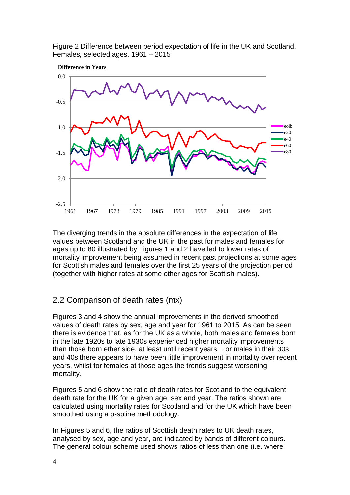Figure 2 Difference between period expectation of life in the UK and Scotland, Females, selected ages. 1961 – 2015



The diverging trends in the absolute differences in the expectation of life values between Scotland and the UK in the past for males and females for ages up to 80 illustrated by Figures 1 and 2 have led to lower rates of mortality improvement being assumed in recent past projections at some ages for Scottish males and females over the first 25 years of the projection period (together with higher rates at some other ages for Scottish males).

#### 2.2 Comparison of death rates (mx)

Figures 3 and 4 show the annual improvements in the derived smoothed values of death rates by sex, age and year for 1961 to 2015. As can be seen there is evidence that, as for the UK as a whole, both males and females born in the late 1920s to late 1930s experienced higher mortality improvements than those born ether side, at least until recent years. For males in their 30s and 40s there appears to have been little improvement in mortality over recent years, whilst for females at those ages the trends suggest worsening mortality.

Figures 5 and 6 show the ratio of death rates for Scotland to the equivalent death rate for the UK for a given age, sex and year. The ratios shown are calculated using mortality rates for Scotland and for the UK which have been smoothed using a p-spline methodology.

In Figures 5 and 6, the ratios of Scottish death rates to UK death rates, analysed by sex, age and year, are indicated by bands of different colours. The general colour scheme used shows ratios of less than one (i.e. where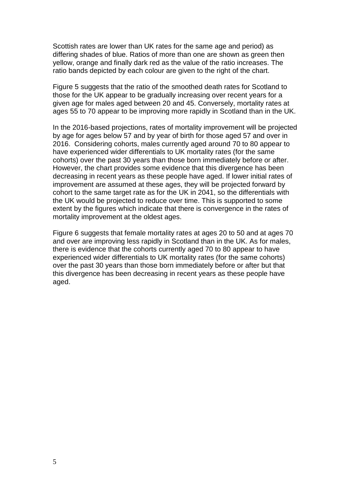Scottish rates are lower than UK rates for the same age and period) as differing shades of blue. Ratios of more than one are shown as green then yellow, orange and finally dark red as the value of the ratio increases. The ratio bands depicted by each colour are given to the right of the chart.

Figure 5 suggests that the ratio of the smoothed death rates for Scotland to those for the UK appear to be gradually increasing over recent years for a given age for males aged between 20 and 45. Conversely, mortality rates at ages 55 to 70 appear to be improving more rapidly in Scotland than in the UK.

In the 2016-based projections, rates of mortality improvement will be projected by age for ages below 57 and by year of birth for those aged 57 and over in 2016. Considering cohorts, males currently aged around 70 to 80 appear to have experienced wider differentials to UK mortality rates (for the same cohorts) over the past 30 years than those born immediately before or after. However, the chart provides some evidence that this divergence has been decreasing in recent years as these people have aged. If lower initial rates of improvement are assumed at these ages, they will be projected forward by cohort to the same target rate as for the UK in 2041, so the differentials with the UK would be projected to reduce over time. This is supported to some extent by the figures which indicate that there is convergence in the rates of mortality improvement at the oldest ages.

Figure 6 suggests that female mortality rates at ages 20 to 50 and at ages 70 and over are improving less rapidly in Scotland than in the UK. As for males, there is evidence that the cohorts currently aged 70 to 80 appear to have experienced wider differentials to UK mortality rates (for the same cohorts) over the past 30 years than those born immediately before or after but that this divergence has been decreasing in recent years as these people have aged.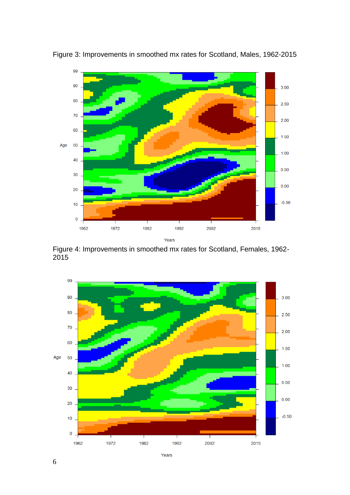

Figure 3: Improvements in smoothed mx rates for Scotland, Males, 1962-2015

Figure 4: Improvements in smoothed mx rates for Scotland, Females, 1962- 2015

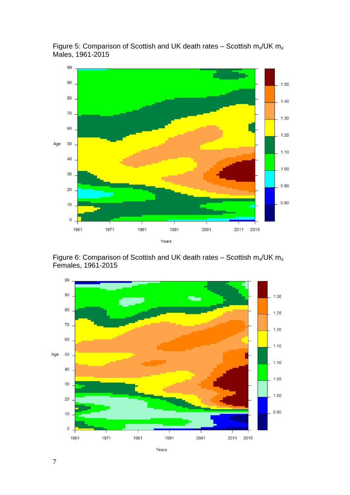

Figure 5: Comparison of Scottish and UK death rates – Scottish  $m_x/UK$   $m_x$ Males, 1961-2015

Figure 6: Comparison of Scottish and UK death rates – Scottish  $m_x/UK$   $m_x$ Females, 1961-2015

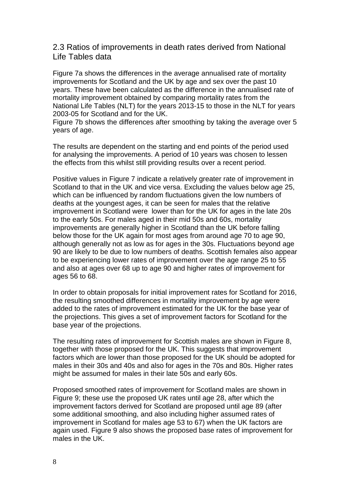2.3 Ratios of improvements in death rates derived from National Life Tables data

Figure 7a shows the differences in the average annualised rate of mortality improvements for Scotland and the UK by age and sex over the past 10 years. These have been calculated as the difference in the annualised rate of mortality improvement obtained by comparing mortality rates from the National Life Tables (NLT) for the years 2013-15 to those in the NLT for years 2003-05 for Scotland and for the UK.

Figure 7b shows the differences after smoothing by taking the average over 5 years of age.

The results are dependent on the starting and end points of the period used for analysing the improvements. A period of 10 years was chosen to lessen the effects from this whilst still providing results over a recent period.

Positive values in Figure 7 indicate a relatively greater rate of improvement in Scotland to that in the UK and vice versa. Excluding the values below age 25, which can be influenced by random fluctuations given the low numbers of deaths at the youngest ages, it can be seen for males that the relative improvement in Scotland were lower than for the UK for ages in the late 20s to the early 50s. For males aged in their mid 50s and 60s, mortality improvements are generally higher in Scotland than the UK before falling below those for the UK again for most ages from around age 70 to age 90, although generally not as low as for ages in the 30s. Fluctuations beyond age 90 are likely to be due to low numbers of deaths. Scottish females also appear to be experiencing lower rates of improvement over the age range 25 to 55 and also at ages over 68 up to age 90 and higher rates of improvement for ages 56 to 68.

In order to obtain proposals for initial improvement rates for Scotland for 2016, the resulting smoothed differences in mortality improvement by age were added to the rates of improvement estimated for the UK for the base year of the projections. This gives a set of improvement factors for Scotland for the base year of the projections.

The resulting rates of improvement for Scottish males are shown in Figure 8, together with those proposed for the UK. This suggests that improvement factors which are lower than those proposed for the UK should be adopted for males in their 30s and 40s and also for ages in the 70s and 80s. Higher rates might be assumed for males in their late 50s and early 60s.

Proposed smoothed rates of improvement for Scotland males are shown in Figure 9; these use the proposed UK rates until age 28, after which the improvement factors derived for Scotland are proposed until age 89 (after some additional smoothing, and also including higher assumed rates of improvement in Scotland for males age 53 to 67) when the UK factors are again used. Figure 9 also shows the proposed base rates of improvement for males in the UK.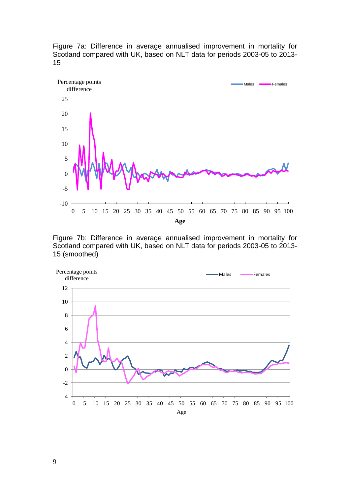



Figure 7b: Difference in average annualised improvement in mortality for Scotland compared with UK, based on NLT data for periods 2003-05 to 2013- 15 (smoothed)

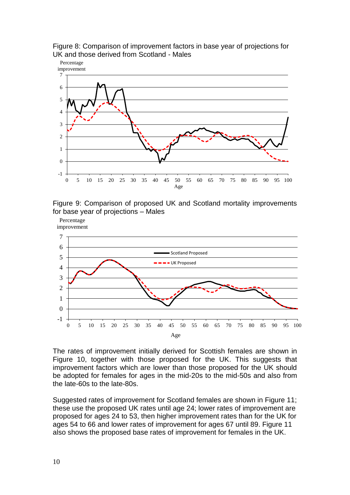







The rates of improvement initially derived for Scottish females are shown in Figure 10, together with those proposed for the UK. This suggests that improvement factors which are lower than those proposed for the UK should be adopted for females for ages in the mid-20s to the mid-50s and also from the late-60s to the late-80s.

Suggested rates of improvement for Scotland females are shown in Figure 11; these use the proposed UK rates until age 24; lower rates of improvement are proposed for ages 24 to 53, then higher improvement rates than for the UK for ages 54 to 66 and lower rates of improvement for ages 67 until 89. Figure 11 also shows the proposed base rates of improvement for females in the UK.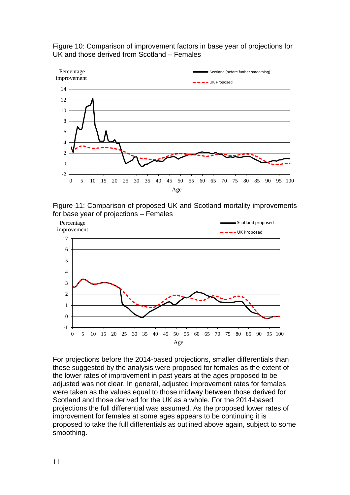







For projections before the 2014-based projections, smaller differentials than those suggested by the analysis were proposed for females as the extent of the lower rates of improvement in past years at the ages proposed to be adjusted was not clear. In general, adjusted improvement rates for females were taken as the values equal to those midway between those derived for Scotland and those derived for the UK as a whole. For the 2014-based projections the full differential was assumed. As the proposed lower rates of improvement for females at some ages appears to be continuing it is proposed to take the full differentials as outlined above again, subject to some smoothing.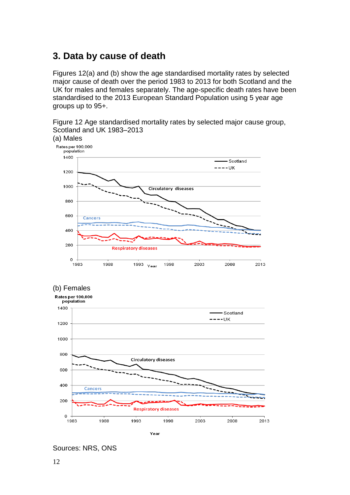# **3. Data by cause of death**

Figures 12(a) and (b) show the age standardised mortality rates by selected major cause of death over the period 1983 to 2013 for both Scotland and the UK for males and females separately. The age-specific death rates have been standardised to the 2013 European Standard Population using 5 year age groups up to 95+.











Sources: NRS, ONS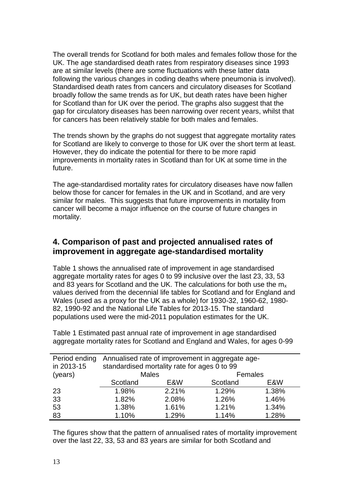The overall trends for Scotland for both males and females follow those for the UK. The age standardised death rates from respiratory diseases since 1993 are at similar levels (there are some fluctuations with these latter data following the various changes in coding deaths where pneumonia is involved). Standardised death rates from cancers and circulatory diseases for Scotland broadly follow the same trends as for UK, but death rates have been higher for Scotland than for UK over the period. The graphs also suggest that the gap for circulatory diseases has been narrowing over recent years, whilst that for cancers has been relatively stable for both males and females.

The trends shown by the graphs do not suggest that aggregate mortality rates for Scotland are likely to converge to those for UK over the short term at least. However, they do indicate the potential for there to be more rapid improvements in mortality rates in Scotland than for UK at some time in the future.

The age-standardised mortality rates for circulatory diseases have now fallen below those for cancer for females in the UK and in Scotland, and are very similar for males. This suggests that future improvements in mortality from cancer will become a major influence on the course of future changes in mortality.

#### **4. Comparison of past and projected annualised rates of improvement in aggregate age-standardised mortality**

Table 1 shows the annualised rate of improvement in age standardised aggregate mortality rates for ages 0 to 99 inclusive over the last 23, 33, 53 and 83 years for Scotland and the UK. The calculations for both use the  $m<sub>x</sub>$ values derived from the decennial life tables for Scotland and for England and Wales (used as a proxy for the UK as a whole) for 1930-32, 1960-62, 1980- 82, 1990-92 and the National Life Tables for 2013-15. The standard populations used were the mid-2011 population estimates for the UK.

Table 1 Estimated past annual rate of improvement in age standardised aggregate mortality rates for Scotland and England and Wales, for ages 0-99

| Period ending | Annualised rate of improvement in aggregate age- |                                              |          |         |  |  |  |  |  |  |
|---------------|--------------------------------------------------|----------------------------------------------|----------|---------|--|--|--|--|--|--|
| in 2013-15    |                                                  | standardised mortality rate for ages 0 to 99 |          |         |  |  |  |  |  |  |
| (years)       | <b>Males</b>                                     |                                              |          | Females |  |  |  |  |  |  |
|               | Scotland                                         | E&W                                          | Scotland | E&W     |  |  |  |  |  |  |
| 23            | 1.98%                                            | 2.21%                                        | 1.29%    | 1.38%   |  |  |  |  |  |  |
| 33            | 1.82%                                            | 2.08%                                        | 1.26%    | 1.46%   |  |  |  |  |  |  |
| 53            | 1.38%                                            | 1.61%                                        | 1.21%    | 1.34%   |  |  |  |  |  |  |
| 83            | 1.10%                                            | 1.29%                                        | 1.14%    | 1.28%   |  |  |  |  |  |  |

The figures show that the pattern of annualised rates of mortality improvement over the last 22, 33, 53 and 83 years are similar for both Scotland and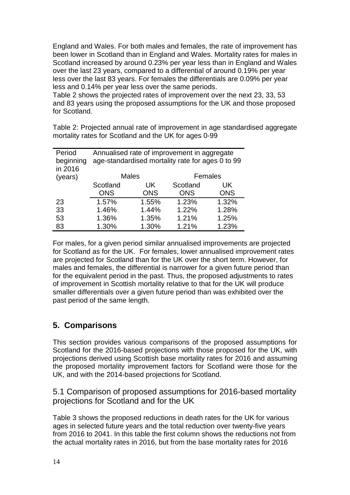England and Wales. For both males and females, the rate of improvement has been lower in Scotland than in England and Wales. Mortality rates for males in Scotland increased by around 0.23% per year less than in England and Wales over the last 23 years, compared to a differential of around 0.19% per year less over the last 83 years. For females the differentials are 0.09% per year less and 0.14% per year less over the same periods.

Table 2 shows the projected rates of improvement over the next 23, 33, 53 and 83 years using the proposed assumptions for the UK and those proposed for Scotland.

Table 2: Projected annual rate of improvement in age standardised aggregate mortality rates for Scotland and the UK for ages 0-99

| Period    | Annualised rate of improvement in aggregate      |              |            |            |  |  |  |  |  |
|-----------|--------------------------------------------------|--------------|------------|------------|--|--|--|--|--|
| beginning | age-standardised mortality rate for ages 0 to 99 |              |            |            |  |  |  |  |  |
| in 2016   |                                                  |              |            |            |  |  |  |  |  |
| (years)   |                                                  | <b>Males</b> | Females    |            |  |  |  |  |  |
|           | Scotland                                         | UK           | Scotland   | UK.        |  |  |  |  |  |
|           | <b>ONS</b>                                       | <b>ONS</b>   | <b>ONS</b> | <b>ONS</b> |  |  |  |  |  |
| 23        | 1.57%                                            | 1.55%        | 1.23%      | 1.32%      |  |  |  |  |  |
| 33        | 1.46%                                            | 1.44%        | 1.22%      | 1.28%      |  |  |  |  |  |
| 53        | 1.36%                                            | 1.35%        | 1.21%      | 1.25%      |  |  |  |  |  |
| 83        | 1.30%                                            | 1.30%        | 1.21%      | 1.23%      |  |  |  |  |  |

For males, for a given period similar annualised improvements are projected for Scotland as for the UK. For females, lower annualised improvement rates are projected for Scotland than for the UK over the short term. However, for males and females, the differential is narrower for a given future period than for the equivalent period in the past. Thus, the proposed adjustments to rates of improvement in Scottish mortality relative to that for the UK will produce smaller differentials over a given future period than was exhibited over the past period of the same length.

#### **5. Comparisons**

This section provides various comparisons of the proposed assumptions for Scotland for the 2016-based projections with those proposed for the UK, with projections derived using Scottish base mortality rates for 2016 and assuming the proposed mortality improvement factors for Scotland were those for the UK, and with the 2014-based projections for Scotland.

5.1 Comparison of proposed assumptions for 2016-based mortality projections for Scotland and for the UK

Table 3 shows the proposed reductions in death rates for the UK for various ages in selected future years and the total reduction over twenty-five years from 2016 to 2041. In this table the first column shows the reductions not from the actual mortality rates in 2016, but from the base mortality rates for 2016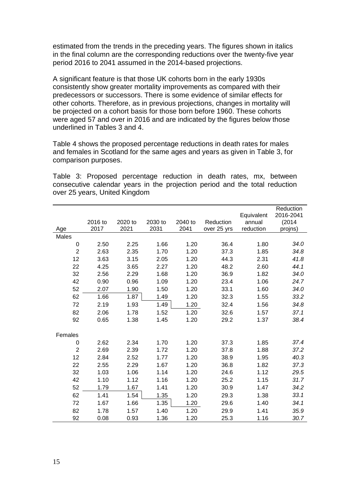estimated from the trends in the preceding years. The figures shown in italics in the final column are the corresponding reductions over the twenty-five year period 2016 to 2041 assumed in the 2014-based projections.

A significant feature is that those UK cohorts born in the early 1930s consistently show greater mortality improvements as compared with their predecessors or successors. There is some evidence of similar effects for other cohorts. Therefore, as in previous projections, changes in mortality will be projected on a cohort basis for those born before 1960. These cohorts were aged 57 and over in 2016 and are indicated by the figures below those underlined in Tables 3 and 4.

Table 4 shows the proposed percentage reductions in death rates for males and females in Scotland for the same ages and years as given in Table 3, for comparison purposes.

Table 3: Proposed percentage reduction in death rates, mx, between consecutive calendar years in the projection period and the total reduction over 25 years, United Kingdom

|                |         |         |         |         |             |                      | Reduction           |
|----------------|---------|---------|---------|---------|-------------|----------------------|---------------------|
|                | 2016 to | 2020 to | 2030 to | 2040 to | Reduction   | Equivalent<br>annual | 2016-2041<br>(2014) |
| Age            | 2017    | 2021    | 2031    | 2041    | over 25 yrs | reduction            | projns)             |
| Males          |         |         |         |         |             |                      |                     |
| 0              | 2.50    | 2.25    | 1.66    | 1.20    | 36.4        | 1.80                 | 34.0                |
| $\overline{2}$ | 2.63    | 2.35    | 1.70    | 1.20    | 37.3        | 1.85                 | 34.8                |
| 12             | 3.63    | 3.15    | 2.05    | 1.20    | 44.3        | 2.31                 | 41.8                |
| 22             | 4.25    | 3.65    | 2.27    | 1.20    | 48.2        | 2.60                 | 44.1                |
|                | 2.56    |         | 1.68    | 1.20    | 36.9        | 1.82                 | 34.0                |
| 32<br>42       |         | 2.29    |         |         |             |                      |                     |
|                | 0.90    | 0.96    | 1.09    | 1.20    | 23.4        | 1.06                 | 24.7                |
| 52             | 2.07    | 1.90    | 1.50    | 1.20    | 33.1        | 1.60                 | 34.0                |
| 62             | 1.66    | 1.87    | 1.49    | 1.20    | 32.3        | 1.55                 | 33.2                |
| 72             | 2.19    | 1.93    | 1.49    | 1.20    | 32.4        | 1.56                 | 34.8                |
| 82             | 2.06    | 1.78    | 1.52    | 1.20    | 32.6        | 1.57                 | 37.1                |
| 92             | 0.65    | 1.38    | 1.45    | 1.20    | 29.2        | 1.37                 | 38.4                |
|                |         |         |         |         |             |                      |                     |
| Females        |         |         |         |         |             |                      |                     |
| 0              | 2.62    | 2.34    | 1.70    | 1.20    | 37.3        | 1.85                 | 37.4                |
| $\overline{2}$ | 2.69    | 2.39    | 1.72    | 1.20    | 37.8        | 1.88                 | 37.2                |
| 12             | 2.84    | 2.52    | 1.77    | 1.20    | 38.9        | 1.95                 | 40.3                |
| 22             | 2.55    | 2.29    | 1.67    | 1.20    | 36.8        | 1.82                 | 37.3                |
| 32             | 1.03    | 1.06    | 1.14    | 1.20    | 24.6        | 1.12                 | 29.5                |
| 42             | 1.10    | 1.12    | 1.16    | 1.20    | 25.2        | 1.15                 | 31.7                |
| 52             | 1.79    | 1.67    | 1.41    | 1.20    | 30.9        | 1.47                 | 34.2                |
| 62             | 1.41    | 1.54    | 1.35    | 1.20    | 29.3        | 1.38                 | 33.1                |
| 72             | 1.67    | 1.66    | 1.35    | 1.20    | 29.6        | 1.40                 | 34.1                |
| 82             | 1.78    | 1.57    | 1.40    | 1.20    | 29.9        | 1.41                 | 35.9                |
| 92             | 0.08    | 0.93    | 1.36    | 1.20    | 25.3        | 1.16                 | 30.7                |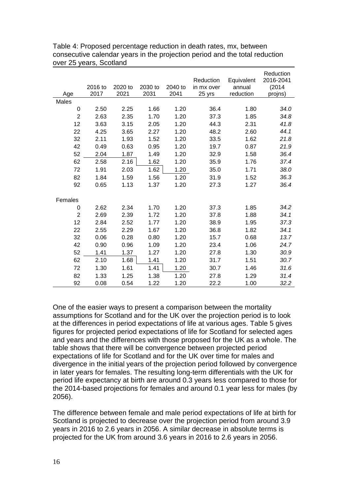| Age            | 2016 to<br>2017 | 2020 to<br>2021 | 2030 to<br>2031 | 2040 to<br>2041 | Reduction<br>in mx over<br>25 yrs | Equivalent<br>annual<br>reduction | Reduction<br>2016-2041<br>(2014)<br>projns) |
|----------------|-----------------|-----------------|-----------------|-----------------|-----------------------------------|-----------------------------------|---------------------------------------------|
| Males          |                 |                 |                 |                 |                                   |                                   |                                             |
| $\mathbf 0$    | 2.50            | 2.25            | 1.66            | 1.20            | 36.4                              | 1.80                              | 34.0                                        |
| $\overline{2}$ | 2.63            | 2.35            | 1.70            | 1.20            | 37.3                              | 1.85                              | 34.8                                        |
| 12             | 3.63            | 3.15            | 2.05            | 1.20            | 44.3                              | 2.31                              | 41.8                                        |
| 22             | 4.25            | 3.65            | 2.27            | 1.20            | 48.2                              | 2.60                              | 44.1                                        |
| 32             | 2.11            | 1.93            | 1.52            | 1.20            | 33.5                              | 1.62                              | 21.8                                        |
| 42             | 0.49            | 0.63            | 0.95            | 1.20            | 19.7                              | 0.87                              | 21.9                                        |
| 52             | 2.04            | 1.87            | 1.49            | 1.20            | 32.9                              | 1.58                              | 36.4                                        |
| 62             | 2.58            | 2.16            | 1.62            | 1.20            | 35.9                              | 1.76                              | 37.4                                        |
| 72             | 1.91            | 2.03            | 1.62            | 1.20            | 35.0                              | 1.71                              | 38.0                                        |
| 82             | 1.84            | 1.59            | 1.56            | 1.20            | 31.9                              | 1.52                              | 36.3                                        |
| 92             | 0.65            | 1.13            | 1.37            | 1.20            | 27.3                              | 1.27                              | 36.4                                        |
|                |                 |                 |                 |                 |                                   |                                   |                                             |
| Females        |                 |                 |                 |                 |                                   |                                   |                                             |
| 0              | 2.62            | 2.34            | 1.70            | 1.20            | 37.3                              | 1.85                              | 34.2                                        |
| $\overline{2}$ | 2.69            | 2.39            | 1.72            | 1.20            | 37.8                              | 1.88                              | 34.1                                        |
| 12             | 2.84            | 2.52            | 1.77            | 1.20            | 38.9                              | 1.95                              | 37.3                                        |
| 22             | 2.55            | 2.29            | 1.67            | 1.20            | 36.8                              | 1.82                              | 34.1                                        |
| 32             | 0.06            | 0.28            | 0.80            | 1.20            | 15.7                              | 0.68                              | 13.7                                        |
| 42             | 0.90            | 0.96            | 1.09            | 1.20            | 23.4                              | 1.06                              | 24.7                                        |
| 52             | 1.41            | 1.37            | 1.27            | 1.20            | 27.8                              | 1.30                              | 30.9                                        |
| 62             | 2.10            | 1.68            | 1.41            | 1.20            | 31.7                              | 1.51                              | 30.7                                        |
| 72             | 1.30            | 1.61            | 1.41            | 1.20            | 30.7                              | 1.46                              | 31.6                                        |
| 82             | 1.33            | 1.25            | 1.38            | 1.20            | 27.8                              | 1.29                              | 31.4                                        |
| 92             | 0.08            | 0.54            | 1.22            | 1.20            | 22.2                              | 1.00                              | 32.2                                        |

Table 4: Proposed percentage reduction in death rates, mx, between consecutive calendar years in the projection period and the total reduction over 25 years, Scotland

One of the easier ways to present a comparison between the mortality assumptions for Scotland and for the UK over the projection period is to look at the differences in period expectations of life at various ages. Table 5 gives figures for projected period expectations of life for Scotland for selected ages and years and the differences with those proposed for the UK as a whole. The table shows that there will be convergence between projected period expectations of life for Scotland and for the UK over time for males and divergence in the initial years of the projection period followed by convergence in later years for females. The resulting long-term differentials with the UK for period life expectancy at birth are around 0.3 years less compared to those for the 2014-based projections for females and around 0.1 year less for males (by 2056).

The difference between female and male period expectations of life at birth for Scotland is projected to decrease over the projection period from around 3.9 years in 2016 to 2.6 years in 2056. A similar decrease in absolute terms is projected for the UK from around 3.6 years in 2016 to 2.6 years in 2056.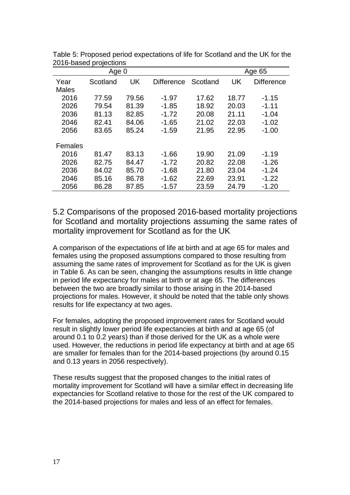|              |          | Age 65 |                   |          |       |                   |
|--------------|----------|--------|-------------------|----------|-------|-------------------|
| Year         | Scotland | UK     | <b>Difference</b> | Scotland | UK    | <b>Difference</b> |
| <b>Males</b> |          |        |                   |          |       |                   |
| 2016         | 77.59    | 79.56  | $-1.97$           | 17.62    | 18.77 | $-1.15$           |
| 2026         | 79.54    | 81.39  | $-1.85$           | 18.92    | 20.03 | $-1.11$           |
| 2036         | 81.13    | 82.85  | $-1.72$           | 20.08    | 21.11 | $-1.04$           |
| 2046         | 82.41    | 84.06  | $-1.65$           | 21.02    | 22.03 | $-1.02$           |
| 2056         | 83.65    | 85.24  | $-1.59$           | 21.95    | 22.95 | $-1.00$           |
|              |          |        |                   |          |       |                   |
| Females      |          |        |                   |          |       |                   |
| 2016         | 81.47    | 83.13  | $-1.66$           | 19.90    | 21.09 | $-1.19$           |
| 2026         | 82.75    | 84.47  | $-1.72$           | 20.82    | 22.08 | $-1.26$           |
| 2036         | 84.02    | 85.70  | $-1.68$           | 21.80    | 23.04 | $-1.24$           |
| 2046         | 85.16    | 86.78  | $-1.62$           | 22.69    | 23.91 | $-1.22$           |
| 2056         | 86.28    | 87.85  | $-1.57$           | 23.59    | 24.79 | $-1.20$           |

Table 5: Proposed period expectations of life for Scotland and the UK for the 2016-based projections

5.2 Comparisons of the proposed 2016-based mortality projections for Scotland and mortality projections assuming the same rates of mortality improvement for Scotland as for the UK

A comparison of the expectations of life at birth and at age 65 for males and females using the proposed assumptions compared to those resulting from assuming the same rates of improvement for Scotland as for the UK is given in Table 6. As can be seen, changing the assumptions results in little change in period life expectancy for males at birth or at age 65. The differences between the two are broadly similar to those arising in the 2014-based projections for males. However, it should be noted that the table only shows results for life expectancy at two ages.

For females, adopting the proposed improvement rates for Scotland would result in slightly lower period life expectancies at birth and at age 65 (of around 0.1 to 0.2 years) than if those derived for the UK as a whole were used. However, the reductions in period life expectancy at birth and at age 65 are smaller for females than for the 2014-based projections (by around 0.15 and 0.13 years in 2056 respectively).

These results suggest that the proposed changes to the initial rates of mortality improvement for Scotland will have a similar effect in decreasing life expectancies for Scotland relative to those for the rest of the UK compared to the 2014-based projections for males and less of an effect for females.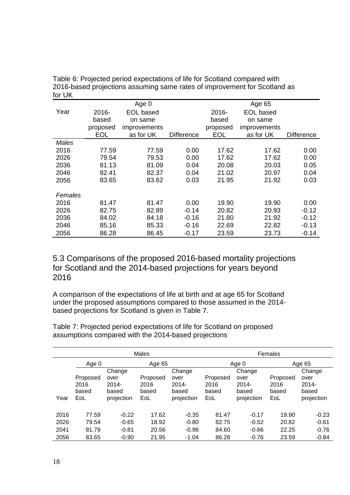|         |            | Age 0               |                   |            | Age 65       |                   |
|---------|------------|---------------------|-------------------|------------|--------------|-------------------|
| Year    | 2016-      | EOL based           |                   | 2016-      | EOL based    |                   |
|         | based      | on same             |                   | based      | on same      |                   |
|         | proposed   | <i>improvements</i> |                   | proposed   | improvements |                   |
|         | <b>EOL</b> | as for UK           | <b>Difference</b> | <b>EOL</b> | as for UK    | <b>Difference</b> |
| Males   |            |                     |                   |            |              |                   |
| 2016    | 77.59      | 77.59               | 0.00              | 17.62      | 17.62        | 0.00              |
| 2026    | 79.54      | 79.53               | 0.00              | 17.62      | 17.62        | 0.00              |
| 2036    | 81.13      | 81.09               | 0.04              | 20.08      | 20.03        | 0.05              |
| 2046    | 82.41      | 82.37               | 0.04              | 21.02      | 20.97        | 0.04              |
| 2056    | 83.65      | 83.62               | 0.03              | 21.95      | 21.92        | 0.03              |
|         |            |                     |                   |            |              |                   |
| Females |            |                     |                   |            |              |                   |
| 2016    | 81.47      | 81.47               | 0.00              | 19.90      | 19.90        | 0.00              |
| 2026    | 82.75      | 82.89               | $-0.14$           | 20.82      | 20.93        | $-0.12$           |
| 2036    | 84.02      | 84.18               | $-0.16$           | 21.80      | 21.92        | $-0.12$           |
| 2046    | 85.16      | 85.33               | $-0.16$           | 22.69      | 22.82        | $-0.13$           |
| 2056    | 86.28      | 86.45               | $-0.17$           | 23.59      | 23.73        | $-0.14$           |

Table 6: Projected period expectations of life for Scotland compared with 2016-based projections assuming same rates of improvement for Scotland as for UK

5.3 Comparisons of the proposed 2016-based mortality projections for Scotland and the 2014-based projections for years beyond 2016

A comparison of the expectations of life at birth and at age 65 for Scotland under the proposed assumptions compared to those assumed in the 2014 based projections for Scotland is given in Table 7.

Table 7: Projected period expectations of life for Scotland on proposed assumptions compared with the 2014-based projections

|      | <b>Males</b> |            |          |            |          | Females         |          |            |  |
|------|--------------|------------|----------|------------|----------|-----------------|----------|------------|--|
|      | Age 0        |            | Age 65   |            |          | Age 65<br>Age 0 |          |            |  |
|      |              | Change     |          | Change     |          | Change          |          | Change     |  |
|      | Proposed     | over       | Proposed | over       | Proposed | over            | Proposed | over       |  |
|      | 2016         | $2014 -$   | 2016     | $2014 -$   | 2016     | $2014 -$        | 2016     | $2014 -$   |  |
|      | based        | based      | based    | based      | based    | based           | based    | based      |  |
| Year | EoL          | projection | EoL      | projection | EoL      | projection      | EoL      | projection |  |
|      |              |            |          |            |          |                 |          |            |  |
| 2016 | 77.59        | $-0.22$    | 17.62    | $-0.35$    | 81.47    | $-0.17$         | 19.90    | $-0.23$    |  |
| 2026 | 79.54        | $-0.65$    | 18.92    | $-0.80$    | 82.75    | $-0.52$         | 20.82    | $-0.61$    |  |
| 2041 | 81.79        | $-0.81$    | 20.56    | $-0.96$    | 84.60    | $-0.66$         | 22.25    | $-0.76$    |  |
| 2056 | 83.65        | $-0.90$    | 21.95    | $-1.04$    | 86.28    | $-0.76$         | 23.59    | $-0.84$    |  |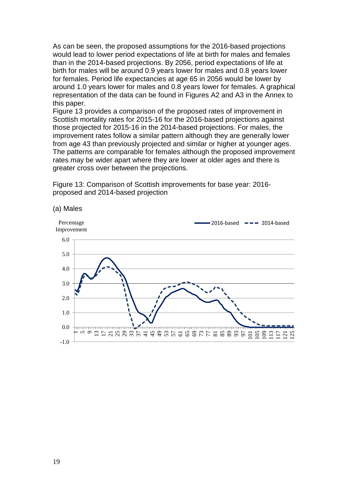As can be seen, the proposed assumptions for the 2016-based projections would lead to lower period expectations of life at birth for males and females than in the 2014-based projections. By 2056, period expectations of life at birth for males will be around 0.9 years lower for males and 0.8 years lower for females. Period life expectancies at age 65 in 2056 would be lower by around 1.0 years lower for males and 0.8 years lower for females. A graphical representation of the data can be found in Figures A2 and A3 in the Annex to this paper.

Figure 13 provides a comparison of the proposed rates of improvement in Scottish mortality rates for 2015-16 for the 2016-based projections against those projected for 2015-16 in the 2014-based projections. For males, the improvement rates follow a similar pattern although they are generally lower from age 43 than previously projected and similar or higher at younger ages. The patterns are comparable for females although the proposed improvement rates may be wider apart where they are lower at older ages and there is greater cross over between the projections.

Figure 13: Comparison of Scottish improvements for base year: 2016 proposed and 2014-based projection



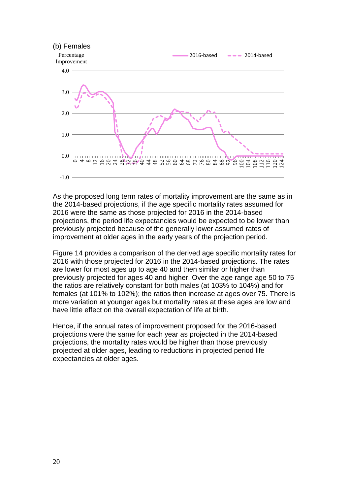

As the proposed long term rates of mortality improvement are the same as in the 2014-based projections, if the age specific mortality rates assumed for 2016 were the same as those projected for 2016 in the 2014-based projections, the period life expectancies would be expected to be lower than previously projected because of the generally lower assumed rates of improvement at older ages in the early years of the projection period.

Figure 14 provides a comparison of the derived age specific mortality rates for 2016 with those projected for 2016 in the 2014-based projections. The rates are lower for most ages up to age 40 and then similar or higher than previously projected for ages 40 and higher. Over the age range age 50 to 75 the ratios are relatively constant for both males (at 103% to 104%) and for females (at 101% to 102%); the ratios then increase at ages over 75. There is more variation at younger ages but mortality rates at these ages are low and have little effect on the overall expectation of life at birth.

Hence, if the annual rates of improvement proposed for the 2016-based projections were the same for each year as projected in the 2014-based projections, the mortality rates would be higher than those previously projected at older ages, leading to reductions in projected period life expectancies at older ages.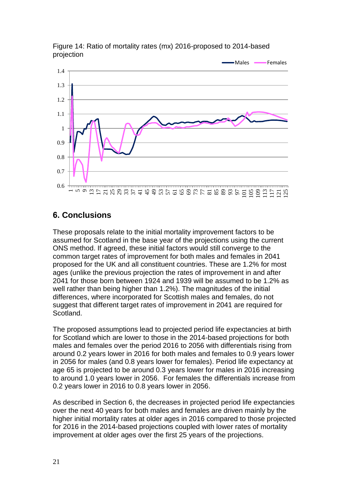

Figure 14: Ratio of mortality rates (mx) 2016-proposed to 2014-based projection

## **6. Conclusions**

These proposals relate to the initial mortality improvement factors to be assumed for Scotland in the base year of the projections using the current ONS method. If agreed, these initial factors would still converge to the common target rates of improvement for both males and females in 2041 proposed for the UK and all constituent countries. These are 1.2% for most ages (unlike the previous projection the rates of improvement in and after 2041 for those born between 1924 and 1939 will be assumed to be 1.2% as well rather than being higher than 1.2%). The magnitudes of the initial differences, where incorporated for Scottish males and females, do not suggest that different target rates of improvement in 2041 are required for Scotland.

The proposed assumptions lead to projected period life expectancies at birth for Scotland which are lower to those in the 2014-based projections for both males and females over the period 2016 to 2056 with differentials rising from around 0.2 years lower in 2016 for both males and females to 0.9 years lower in 2056 for males (and 0.8 years lower for females). Period life expectancy at age 65 is projected to be around 0.3 years lower for males in 2016 increasing to around 1.0 years lower in 2056. For females the differentials increase from 0.2 years lower in 2016 to 0.8 years lower in 2056.

As described in Section 6, the decreases in projected period life expectancies over the next 40 years for both males and females are driven mainly by the higher initial mortality rates at older ages in 2016 compared to those projected for 2016 in the 2014-based projections coupled with lower rates of mortality improvement at older ages over the first 25 years of the projections.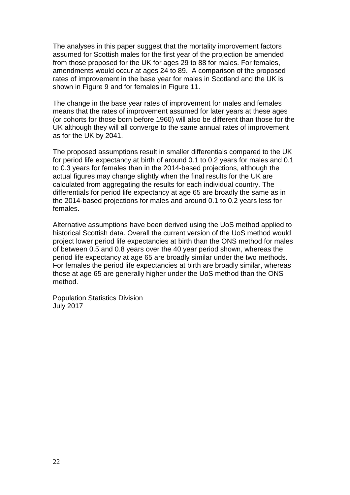The analyses in this paper suggest that the mortality improvement factors assumed for Scottish males for the first year of the projection be amended from those proposed for the UK for ages 29 to 88 for males. For females, amendments would occur at ages 24 to 89. A comparison of the proposed rates of improvement in the base year for males in Scotland and the UK is shown in Figure 9 and for females in Figure 11.

The change in the base year rates of improvement for males and females means that the rates of improvement assumed for later years at these ages (or cohorts for those born before 1960) will also be different than those for the UK although they will all converge to the same annual rates of improvement as for the UK by 2041.

The proposed assumptions result in smaller differentials compared to the UK for period life expectancy at birth of around 0.1 to 0.2 years for males and 0.1 to 0.3 years for females than in the 2014-based projections, although the actual figures may change slightly when the final results for the UK are calculated from aggregating the results for each individual country. The differentials for period life expectancy at age 65 are broadly the same as in the 2014-based projections for males and around 0.1 to 0.2 years less for females.

Alternative assumptions have been derived using the UoS method applied to historical Scottish data. Overall the current version of the UoS method would project lower period life expectancies at birth than the ONS method for males of between 0.5 and 0.8 years over the 40 year period shown, whereas the period life expectancy at age 65 are broadly similar under the two methods. For females the period life expectancies at birth are broadly similar, whereas those at age 65 are generally higher under the UoS method than the ONS method.

Population Statistics Division July 2017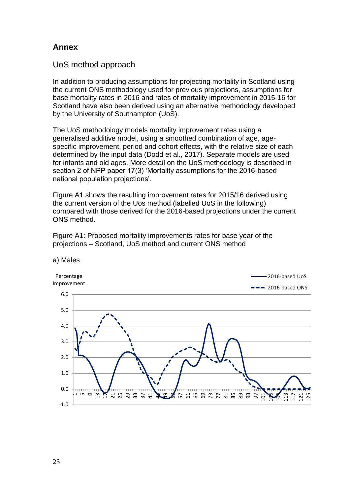#### **Annex**

UoS method approach

In addition to producing assumptions for projecting mortality in Scotland using the current ONS methodology used for previous projections, assumptions for base mortality rates in 2016 and rates of mortality improvement in 2015-16 for Scotland have also been derived using an alternative methodology developed by the University of Southampton (UoS).

The UoS methodology models mortality improvement rates using a generalised additive model, using a smoothed combination of age, agespecific improvement, period and cohort effects, with the relative size of each determined by the input data (Dodd et al., 2017). Separate models are used for infants and old ages. More detail on the UoS methodology is described in section 2 of NPP paper 17(3) 'Mortality assumptions for the 2016-based national population projections'.

Figure A1 shows the resulting improvement rates for 2015/16 derived using the current version of the Uos method (labelled UoS in the following) compared with those derived for the 2016-based projections under the current ONS method.



Figure A1: Proposed mortality improvements rates for base year of the projections – Scotland, UoS method and current ONS method

a) Males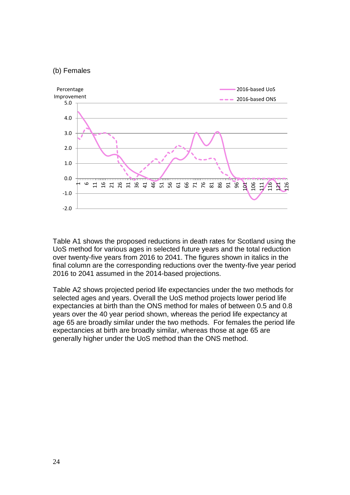#### (b) Females



Table A1 shows the proposed reductions in death rates for Scotland using the UoS method for various ages in selected future years and the total reduction over twenty-five years from 2016 to 2041. The figures shown in italics in the final column are the corresponding reductions over the twenty-five year period 2016 to 2041 assumed in the 2014-based projections.

Table A2 shows projected period life expectancies under the two methods for selected ages and years. Overall the UoS method projects lower period life expectancies at birth than the ONS method for males of between 0.5 and 0.8 years over the 40 year period shown, whereas the period life expectancy at age 65 are broadly similar under the two methods. For females the period life expectancies at birth are broadly similar, whereas those at age 65 are generally higher under the UoS method than the ONS method.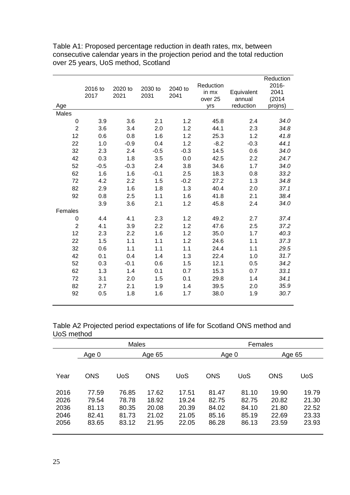| Age              | 2016 to<br>2017 | 2020 to<br>2021 | 2030 to<br>2031 | 2040 to<br>2041 | Reduction<br>in mx<br>over <sub>25</sub><br>yrs | Equivalent<br>annual<br>reduction | Reduction<br>2016-<br>2041<br>(2014)<br>projns) |
|------------------|-----------------|-----------------|-----------------|-----------------|-------------------------------------------------|-----------------------------------|-------------------------------------------------|
| Males            |                 |                 |                 |                 |                                                 |                                   |                                                 |
| $\boldsymbol{0}$ | 3.9             | 3.6             | 2.1             | 1.2             | 45.8                                            | 2.4                               | 34.0                                            |
| $\overline{2}$   | 3.6             | 3.4             | 2.0             | 1.2             | 44.1                                            | 2.3                               | 34.8                                            |
| 12               | 0.6             | 0.8             | 1.6             | 1.2             | 25.3                                            | 1.2                               | 41.8                                            |
| 22               | 1.0             | $-0.9$          | 0.4             | 1.2             | $-8.2$                                          | $-0.3$                            | 44.1                                            |
| 32               | 2.3             | 2.4             | $-0.5$          | $-0.3$          | 14.5                                            | 0.6                               | 34.0                                            |
| 42               | 0.3             | 1.8             | 3.5             | 0.0             | 42.5                                            | 2.2                               | 24.7                                            |
| 52               | $-0.5$          | $-0.3$          | 2.4             | 3.8             | 34.6                                            | 1.7                               | 34.0                                            |
| 62               | 1.6             | 1.6             | $-0.1$          | 2.5             | 18.3                                            | 0.8                               | 33.2                                            |
| 72               | 4.2             | 2.2             | 1.5             | $-0.2$          | 27.2                                            | 1.3                               | 34.8                                            |
| 82               | 2.9             | 1.6             | 1.8             | 1.3             | 40.4                                            | 2.0                               | 37.1                                            |
| 92               | 0.8             | 2.5             | 1.1             | 1.6             | 41.8                                            | 2.1                               | 38.4                                            |
|                  | 3.9             | 3.6             | 2.1             | 1.2             | 45.8                                            | 2.4                               | 34.0                                            |
| Females          |                 |                 |                 |                 |                                                 |                                   |                                                 |
| 0                | 4.4             | 4.1             | 2.3             | 1.2             | 49.2                                            | 2.7                               | 37.4                                            |
| $\overline{2}$   | 4.1             | 3.9             | 2.2             | 1.2             | 47.6                                            | 2.5                               | 37.2                                            |
| 12               | 2.3             | 2.2             | 1.6             | 1.2             | 35.0                                            | 1.7                               | 40.3                                            |
| 22               | 1.5             | 1.1             | 1.1             | 1.2             | 24.6                                            | 1.1                               | 37.3                                            |
| 32               | 0.6             | 1.1             | 1.1             | 1.1             | 24.4                                            | 1.1                               | 29.5                                            |
| 42               | 0.1             | 0.4             | 1.4             | 1.3             | 22.4                                            | 1.0                               | 31.7                                            |
| 52               | 0.3             | $-0.1$          | 0.6             | 1.5             | 12.1                                            | 0.5                               | 34.2                                            |
| 62               | 1.3             | 1.4             | 0.1             | 0.7             | 15.3                                            | 0.7                               | 33.1                                            |
| 72               | 3.1             | 2.0             | 1.5             | 0.1             | 29.8                                            | 1.4                               | 34.1                                            |
| 82               | 2.7             | 2.1             | 1.9             | 1.4             | 39.5                                            | 2.0                               | 35.9                                            |
| 92               | 0.5             | 1.8             | 1.6             | 1.7             | 38.0                                            | 1.9                               | 30.7                                            |

Table A1: Proposed percentage reduction in death rates, mx, between consecutive calendar years in the projection period and the total reduction over 25 years, UoS method, Scotland

Table A2 Projected period expectations of life for Scotland ONS method and UoS method

|                                      | <b>Males</b>                              |                                           |                                           |                                           |                                           | Females                                   |                                           |                                           |
|--------------------------------------|-------------------------------------------|-------------------------------------------|-------------------------------------------|-------------------------------------------|-------------------------------------------|-------------------------------------------|-------------------------------------------|-------------------------------------------|
|                                      | Age 0                                     |                                           | Age 65                                    |                                           | Age 0                                     |                                           | Age 65                                    |                                           |
|                                      |                                           |                                           |                                           |                                           |                                           |                                           |                                           |                                           |
| Year                                 | <b>ONS</b>                                | UoS                                       | <b>ONS</b>                                | UoS                                       | <b>ONS</b>                                | <b>UoS</b>                                | <b>ONS</b>                                | <b>UoS</b>                                |
| 2016<br>2026<br>2036<br>2046<br>2056 | 77.59<br>79.54<br>81.13<br>82.41<br>83.65 | 76.85<br>78.78<br>80.35<br>81.73<br>83.12 | 17.62<br>18.92<br>20.08<br>21.02<br>21.95 | 17.51<br>19.24<br>20.39<br>21.05<br>22.05 | 81.47<br>82.75<br>84.02<br>85.16<br>86.28 | 81.10<br>82.75<br>84.10<br>85.19<br>86.13 | 19.90<br>20.82<br>21.80<br>22.69<br>23.59 | 19.79<br>21.30<br>22.52<br>23.33<br>23.93 |